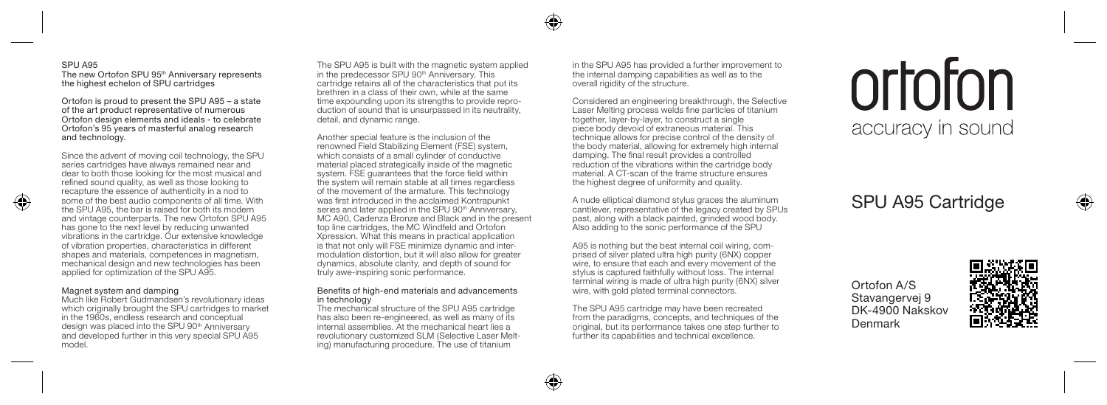## SPU A95 The new Ortofon SPU 95<sup>th</sup> Anniversary represents the highest echelon of SPU cartridges

Ortofon is proud to present the SPU A95 – a state of the art product representative of numerous Ortofon design elements and ideals - to celebrate Ortofon's 95 years of masterful analog research and technology.

Since the advent of moving coil technology, the SPU series cartridges have always remained near and dear to both those looking for the most musical and refined sound quality, as well as those looking to recapture the essence of authenticity in a nod to some of the best audio components of all time. With the SPU A95, the bar is raised for both its modern and vintage counterparts. The new Ortofon SPU A95 has gone to the next level by reducing unwanted vibrations in the cartridge. Our extensive knowledge of vibration properties, characteristics in different shapes and materials, competences in magnetism, mechanical design and new technologies has been applied for optimization of the SPU A95.

## Magnet system and damping

◈

Much like Robert Gudmandsen's revolutionary ideas which originally brought the SPU cartridges to market in the 1960s, endless research and conceptual design was placed into the SPU 90<sup>th</sup> Anniversary and developed further in this very special SPU A95 model.

The SPU A95 is built with the magnetic system applied in the predecessor SPU 90th Anniversary. This cartridge retains all of the characteristics that put its brethren in a class of their own, while at the same time expounding upon its strengths to provide reproduction of sound that is unsurpassed in its neutrality, detail, and dynamic range.

Another special feature is the inclusion of the renowned Field Stabilizing Element (FSE) system, which consists of a small cylinder of conductive material placed strategically inside of the magnetic system. FSE quarantees that the force field within the system will remain stable at all times regardless of the movement of the armature. This technology was first introduced in the acclaimed Kontrapunkt series and later applied in the SPU 90<sup>th</sup> Anniversary. MC A90, Cadenza Bronze and Black and in the present top line cartridges, the MC Windfeld and Ortofon Xpression. What this means in practical application is that not only will FSE minimize dynamic and intermodulation distortion, but it will also allow for greater dynamics, absolute clarity, and depth of sound for truly awe-inspiring sonic performance.

## Benefits of high-end materials and advancements in technology

The mechanical structure of the SPU A95 cartridge has also been re-engineered, as well as many of its internal assemblies. At the mechanical heart lies a revolutionary customized SLM (Selective Laser Melting) manufacturing procedure. The use of titanium

in the SPU A95 has provided a further improvement to the internal damping capabilities as well as to the overall rigidity of the structure.

Considered an engineering breakthrough, the Selective Laser Melting process welds fine particles of titanium together, layer-by-layer, to construct a single piece body devoid of extraneous material. This technique allows for precise control of the density of the body material, allowing for extremely high internal damping. The final result provides a controlled reduction of the vibrations within the cartridge body material. A CT-scan of the frame structure ensures the highest degree of uniformity and quality.

A nude elliptical diamond stylus graces the aluminum cantilever, representative of the legacy created by SPUs past, along with a black painted, grinded wood body. Also adding to the sonic performance of the SPU

A95 is nothing but the best internal coil wiring, comprised of silver plated ultra high purity (6NX) copper wire, to ensure that each and every movement of the stylus is captured faithfully without loss. The internal terminal wiring is made of ultra high purity (6NX) silver wire, with gold plated terminal connectors.

The SPU A95 cartridge may have been recreated from the paradigms, concepts, and techniques of the original, but its performance takes one step further to further its capabilities and technical excellence.

# ortofon accuracy in sound

# SPU A95 Cartridge

Ortofon A/S Stavangervej 9 DK-4900 Nakskov Denmark



♠

 $\bigcirc$ 

♠